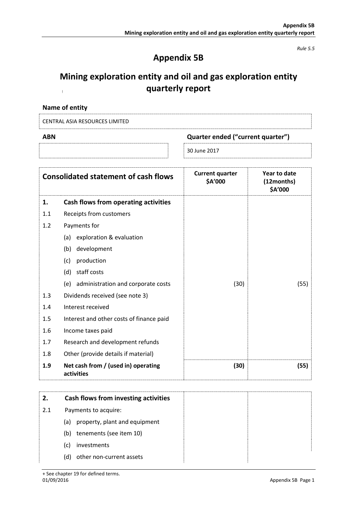*Rule 5.5*

# **Appendix 5B**

#### **Mining exploration entity and oil and gas exploration entity quarterly report**  $\frac{1}{2}$

| Name of entity |  |  |
|----------------|--|--|
|----------------|--|--|

| <b>CENTRAL ASIA RESOURCES LIMITED</b> |  |  |  |
|---------------------------------------|--|--|--|
|                                       |  |  |  |

| Quarter ended ("current quarter") |
|-----------------------------------|
| 30 June 2017                      |

|     | <b>Consolidated statement of cash flows</b>       | <b>Current quarter</b><br>\$A'000 | Year to date<br>(12months)<br>\$A'000 |
|-----|---------------------------------------------------|-----------------------------------|---------------------------------------|
| 1.  | Cash flows from operating activities              |                                   |                                       |
| 1.1 | Receipts from customers                           |                                   |                                       |
| 1.2 | Payments for                                      |                                   |                                       |
|     | (a) exploration & evaluation                      |                                   |                                       |
|     | development<br>(b)                                |                                   |                                       |
|     | production<br>(c)                                 |                                   |                                       |
|     | staff costs<br>(d)                                |                                   |                                       |
|     | (e) administration and corporate costs            | (30)                              | (55)                                  |
| 1.3 | Dividends received (see note 3)                   |                                   |                                       |
| 1.4 | Interest received                                 |                                   |                                       |
| 1.5 | Interest and other costs of finance paid          |                                   |                                       |
| 1.6 | Income taxes paid                                 |                                   |                                       |
| 1.7 | Research and development refunds                  |                                   |                                       |
| 1.8 | Other (provide details if material)               |                                   |                                       |
| 1.9 | Net cash from / (used in) operating<br>activities | (30)                              | (55)                                  |

| 2.  | Cash flows from investing activities |  |
|-----|--------------------------------------|--|
| 2.1 | Payments to acquire:                 |  |
|     | property, plant and equipment<br>(a) |  |
|     | tenements (see item 10)<br>(b)       |  |
|     | investments<br>(c)                   |  |
|     | other non-current assets<br>(d)      |  |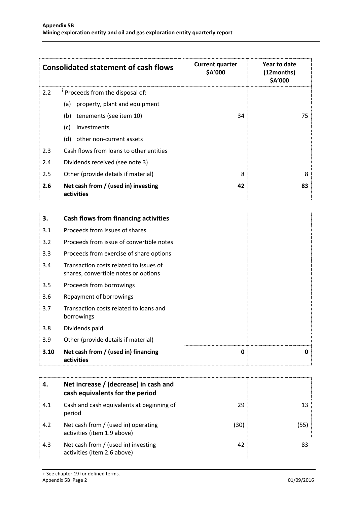|         | <b>Consolidated statement of cash flows</b>       | <b>Current quarter</b><br>\$A'000 | Year to date<br>(12months)<br>\$A'000 |
|---------|---------------------------------------------------|-----------------------------------|---------------------------------------|
| 2.2     | Proceeds from the disposal of:                    |                                   |                                       |
|         | property, plant and equipment<br>(a)              |                                   |                                       |
|         | tenements (see item 10)<br>(b)                    | 34                                | 75                                    |
|         | investments<br>(c)                                |                                   |                                       |
|         | other non-current assets<br>(d)                   |                                   |                                       |
| 2.3     | Cash flows from loans to other entities           |                                   |                                       |
| 2.4     | Dividends received (see note 3)                   |                                   |                                       |
| $2.5\,$ | Other (provide details if material)               | 8                                 | 8                                     |
| 2.6     | Net cash from / (used in) investing<br>activities | 42                                | 83                                    |

| 3.   | <b>Cash flows from financing activities</b>                                    |   |   |
|------|--------------------------------------------------------------------------------|---|---|
| 3.1  | Proceeds from issues of shares                                                 |   |   |
| 3.2  | Proceeds from issue of convertible notes                                       |   |   |
| 3.3  | Proceeds from exercise of share options                                        |   |   |
| 3.4  | Transaction costs related to issues of<br>shares, convertible notes or options |   |   |
| 3.5  | Proceeds from borrowings                                                       |   |   |
| 3.6  | Repayment of borrowings                                                        |   |   |
| 3.7  | Transaction costs related to loans and<br>borrowings                           |   |   |
| 3.8  | Dividends paid                                                                 |   |   |
| 3.9  | Other (provide details if material)                                            |   |   |
| 3.10 | Net cash from / (used in) financing<br>activities                              | 0 | n |

| 4.  | Net increase / (decrease) in cash and<br>cash equivalents for the period |      |    |
|-----|--------------------------------------------------------------------------|------|----|
| 4.1 | Cash and cash equivalents at beginning of<br>period                      | 29   |    |
| 4.2 | Net cash from / (used in) operating<br>activities (item 1.9 above)       | (30) |    |
| 4.3 | Net cash from / (used in) investing<br>activities (item 2.6 above)       | 42   | 83 |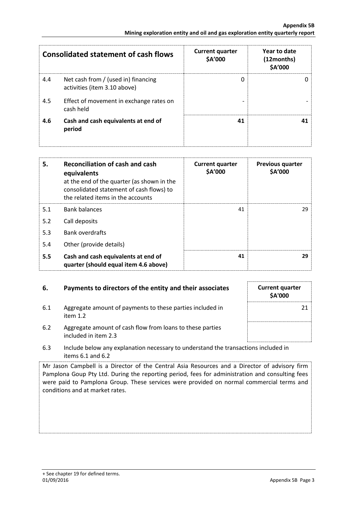|     | <b>Consolidated statement of cash flows</b>                         | <b>Current quarter</b><br>\$A'000 | Year to date<br>(12months)<br>\$A'000 |
|-----|---------------------------------------------------------------------|-----------------------------------|---------------------------------------|
| 4.4 | Net cash from / (used in) financing<br>activities (item 3.10 above) | 0                                 |                                       |
| 4.5 | Effect of movement in exchange rates on<br>cash held                |                                   |                                       |
| 4.6 | Cash and cash equivalents at end of<br>period                       | 41                                |                                       |

| 5.  | <b>Reconciliation of cash and cash</b><br>equivalents<br>at the end of the quarter (as shown in the<br>consolidated statement of cash flows) to<br>the related items in the accounts | <b>Current quarter</b><br>\$A'000 | <b>Previous quarter</b><br>\$A'000 |
|-----|--------------------------------------------------------------------------------------------------------------------------------------------------------------------------------------|-----------------------------------|------------------------------------|
| 5.1 | <b>Bank balances</b>                                                                                                                                                                 | 41                                | 29.                                |
| 5.2 | Call deposits                                                                                                                                                                        |                                   |                                    |
| 5.3 | <b>Bank overdrafts</b>                                                                                                                                                               |                                   |                                    |
| 5.4 | Other (provide details)                                                                                                                                                              |                                   |                                    |
| 5.5 | Cash and cash equivalents at end of<br>quarter (should equal item 4.6 above)                                                                                                         | 41                                | 29                                 |

## **6.** Payments to directors of the entity and their associates Current quarter

6.1 Aggregate amount of payments to these parties included in item 1.2



- 6.2 Aggregate amount of cash flow from loans to these parties included in item 2.3
- 6.3 Include below any explanation necessary to understand the transactions included in items 6.1 and 6.2

Mr Jason Campbell is a Director of the Central Asia Resources and a Director of advisory firm Pamplona Goup Pty Ltd. During the reporting period, fees for administration and consulting fees were paid to Pamplona Group. These services were provided on normal commercial terms and conditions and at market rates.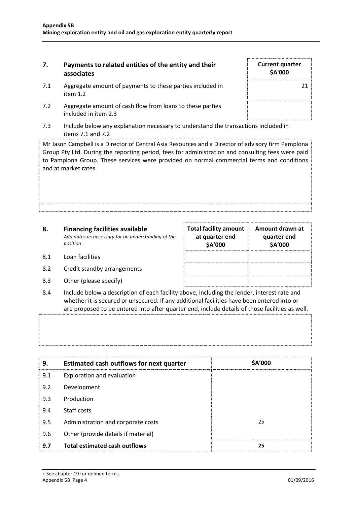### **7. Payments to related entities of the entity and their associates**

- 7.1 Aggregate amount of payments to these parties included in item 1.2
- 7.2 Aggregate amount of cash flow from loans to these parties included in item 2.3
- 7.3 Include below any explanation necessary to understand the transactions included in items 7.1 and 7.2

Mr Jason Campbell is a Director of Central Asia Resources and a Director of advisory firm Pamplona Group Pty Ltd. During the reporting period, fees for administration and consulting fees were paid to Pamplona Group. These services were provided on normal commercial terms and conditions and at market rates.

| 8.  | <b>Financing facilities available</b><br>Add notes as necessary for an understanding of the<br>position | <b>Total facility amount</b><br>at quarter end<br>\$A'000 | Amount drawn at<br>quarter end<br>\$A'000 |
|-----|---------------------------------------------------------------------------------------------------------|-----------------------------------------------------------|-------------------------------------------|
| 8.1 | Loan facilities                                                                                         |                                                           |                                           |
| 8.2 | Credit standby arrangements                                                                             |                                                           |                                           |

- 8.3 Other (please specify)
- 8.4 Include below a description of each facility above, including the lender, interest rate and whether it is secured or unsecured. If any additional facilities have been entered into or are proposed to be entered into after quarter end, include details of those facilities as well.

| 9.  | <b>Estimated cash outflows for next quarter</b> | \$A'000 |
|-----|-------------------------------------------------|---------|
| 9.1 | Exploration and evaluation                      |         |
| 9.2 | Development                                     |         |
| 9.3 | Production                                      |         |
| 9.4 | Staff costs                                     |         |
| 9.5 | Administration and corporate costs              | 25      |
| 9.6 | Other (provide details if material)             |         |
| 9.7 | <b>Total estimated cash outflows</b>            | 25      |

**Current quarter \$A'000** 21